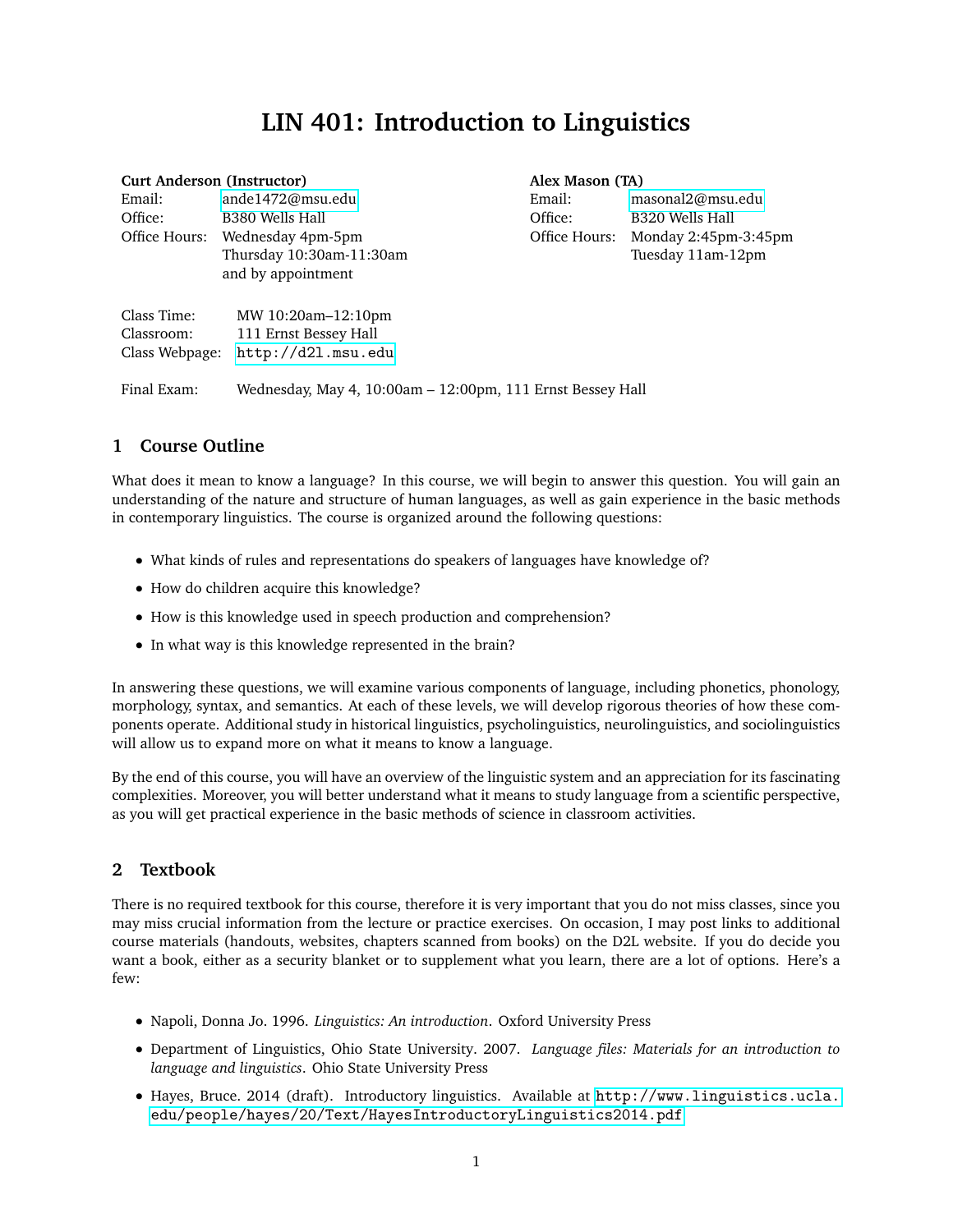# **LIN 401: Introduction to Linguistics**

| <b>Curt Anderson (Instructor)</b>           |                                                                   | Alex Mason (TA) |                      |
|---------------------------------------------|-------------------------------------------------------------------|-----------------|----------------------|
| Email:                                      | ande1472@msu.edu                                                  | Email:          | masonal2@msu.edu     |
| Office:                                     | B380 Wells Hall                                                   | Office:         | B320 Wells Hall      |
| Office Hours:                               | Wednesday 4pm-5pm                                                 | Office Hours:   | Monday 2:45pm-3:45pm |
|                                             | Thursday 10:30am-11:30am                                          |                 | Tuesday 11am-12pm    |
|                                             | and by appointment                                                |                 |                      |
| Class Time:<br>Classroom:<br>Class Webpage: | MW 10:20am-12:10pm<br>111 Ernst Bessey Hall<br>http://d21.msu.edu |                 |                      |

Final Exam: Wednesday, May 4, 10:00am – 12:00pm, 111 Ernst Bessey Hall

## **1 Course Outline**

What does it mean to know a language? In this course, we will begin to answer this question. You will gain an understanding of the nature and structure of human languages, as well as gain experience in the basic methods in contemporary linguistics. The course is organized around the following questions:

- What kinds of rules and representations do speakers of languages have knowledge of?
- How do children acquire this knowledge?
- How is this knowledge used in speech production and comprehension?
- In what way is this knowledge represented in the brain?

In answering these questions, we will examine various components of language, including phonetics, phonology, morphology, syntax, and semantics. At each of these levels, we will develop rigorous theories of how these components operate. Additional study in historical linguistics, psycholinguistics, neurolinguistics, and sociolinguistics will allow us to expand more on what it means to know a language.

By the end of this course, you will have an overview of the linguistic system and an appreciation for its fascinating complexities. Moreover, you will better understand what it means to study language from a scientific perspective, as you will get practical experience in the basic methods of science in classroom activities.

## **2 Textbook**

There is no required textbook for this course, therefore it is very important that you do not miss classes, since you may miss crucial information from the lecture or practice exercises. On occasion, I may post links to additional course materials (handouts, websites, chapters scanned from books) on the D2L website. If you do decide you want a book, either as a security blanket or to supplement what you learn, there are a lot of options. Here's a few:

- Napoli, Donna Jo. 1996. *Linguistics: An introduction*. Oxford University Press
- Department of Linguistics, Ohio State University. 2007. *Language files: Materials for an introduction to language and linguistics*. Ohio State University Press
- Hayes, Bruce. 2014 (draft). Introductory linguistics. Available at [http://www.linguistics.ucla.](http://www.linguistics. ucla.edu/people/hayes/20/Text/HayesIntroductoryLinguistics2014.pdf) [edu/people/hayes/20/Text/HayesIntroductoryLinguistics2014.pdf](http://www.linguistics. ucla.edu/people/hayes/20/Text/HayesIntroductoryLinguistics2014.pdf)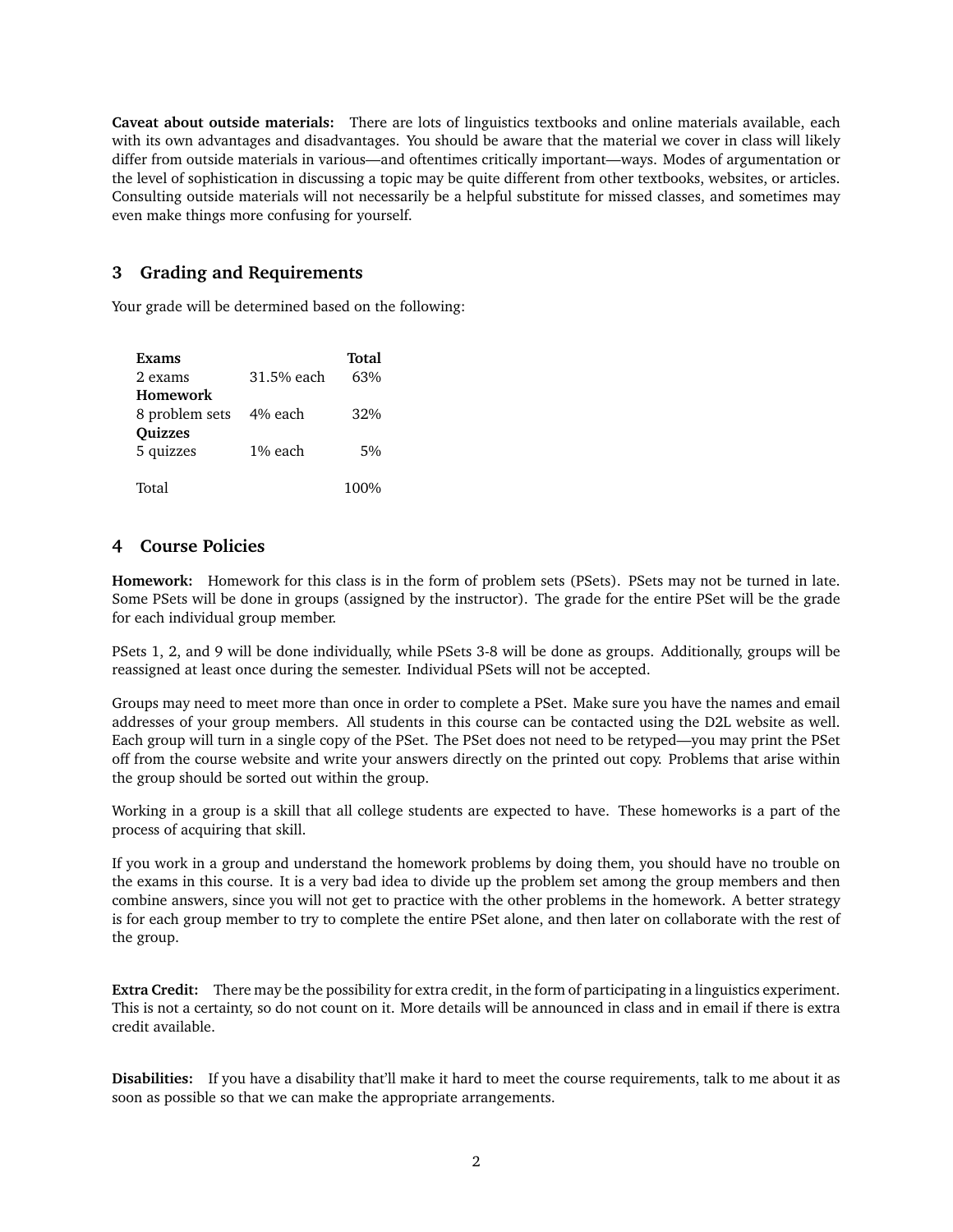**Caveat about outside materials:** There are lots of linguistics textbooks and online materials available, each with its own advantages and disadvantages. You should be aware that the material we cover in class will likely differ from outside materials in various—and oftentimes critically important—ways. Modes of argumentation or the level of sophistication in discussing a topic may be quite different from other textbooks, websites, or articles. Consulting outside materials will not necessarily be a helpful substitute for missed classes, and sometimes may even make things more confusing for yourself.

# **3 Grading and Requirements**

Your grade will be determined based on the following:

| Exams           |            | Total |
|-----------------|------------|-------|
| 2 exams         | 31.5% each | 63%   |
| <b>Homework</b> |            |       |
| 8 problem sets  | 4% each    | 32%   |
| <b>Quizzes</b>  |            |       |
| 5 quizzes       | 1% each    | .5%   |
|                 |            |       |
| Total           |            | 100%  |

### **4 Course Policies**

**Homework:** Homework for this class is in the form of problem sets (PSets). PSets may not be turned in late. Some PSets will be done in groups (assigned by the instructor). The grade for the entire PSet will be the grade for each individual group member.

PSets 1, 2, and 9 will be done individually, while PSets 3-8 will be done as groups. Additionally, groups will be reassigned at least once during the semester. Individual PSets will not be accepted.

Groups may need to meet more than once in order to complete a PSet. Make sure you have the names and email addresses of your group members. All students in this course can be contacted using the D2L website as well. Each group will turn in a single copy of the PSet. The PSet does not need to be retyped—you may print the PSet off from the course website and write your answers directly on the printed out copy. Problems that arise within the group should be sorted out within the group.

Working in a group is a skill that all college students are expected to have. These homeworks is a part of the process of acquiring that skill.

If you work in a group and understand the homework problems by doing them, you should have no trouble on the exams in this course. It is a very bad idea to divide up the problem set among the group members and then combine answers, since you will not get to practice with the other problems in the homework. A better strategy is for each group member to try to complete the entire PSet alone, and then later on collaborate with the rest of the group.

**Extra Credit:** There may be the possibility for extra credit, in the form of participating in a linguistics experiment. This is not a certainty, so do not count on it. More details will be announced in class and in email if there is extra credit available.

**Disabilities:** If you have a disability that'll make it hard to meet the course requirements, talk to me about it as soon as possible so that we can make the appropriate arrangements.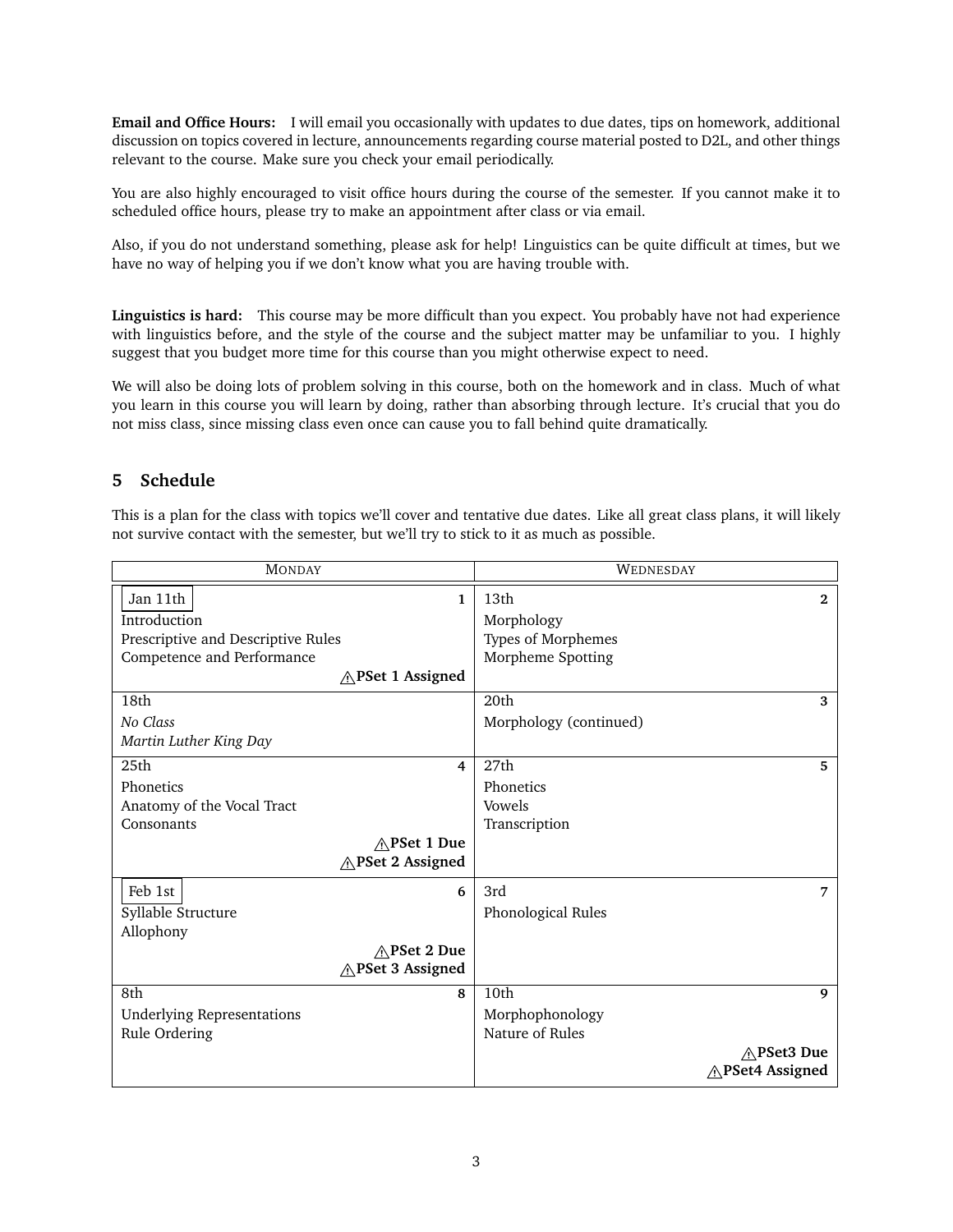**Email and Office Hours:** I will email you occasionally with updates to due dates, tips on homework, additional discussion on topics covered in lecture, announcements regarding course material posted to D2L, and other things relevant to the course. Make sure you check your email periodically.

You are also highly encouraged to visit office hours during the course of the semester. If you cannot make it to scheduled office hours, please try to make an appointment after class or via email.

Also, if you do not understand something, please ask for help! Linguistics can be quite difficult at times, but we have no way of helping you if we don't know what you are having trouble with.

**Linguistics is hard:** This course may be more difficult than you expect. You probably have not had experience with linguistics before, and the style of the course and the subject matter may be unfamiliar to you. I highly suggest that you budget more time for this course than you might otherwise expect to need.

We will also be doing lots of problem solving in this course, both on the homework and in class. Much of what you learn in this course you will learn by doing, rather than absorbing through lecture. It's crucial that you do not miss class, since missing class even once can cause you to fall behind quite dramatically.

### **5 Schedule**

This is a plan for the class with topics we'll cover and tentative due dates. Like all great class plans, it will likely not survive contact with the semester, but we'll try to stick to it as much as possible.

| <b>MONDAY</b>                      | WEDNESDAY              |
|------------------------------------|------------------------|
| Jan 11th<br>1                      | 13th<br>$\mathbf{2}$   |
| Introduction                       | Morphology             |
| Prescriptive and Descriptive Rules | Types of Morphemes     |
| Competence and Performance         | Morpheme Spotting      |
| ∧PSet 1 Assigned                   |                        |
| 18th                               | 20th<br>3              |
| No Class                           | Morphology (continued) |
| Martin Luther King Day             |                        |
| 25 <sub>th</sub><br>$\overline{4}$ | 27th<br>5              |
| Phonetics                          | Phonetics              |
| Anatomy of the Vocal Tract         | Vowels                 |
| Consonants                         | Transcription          |
| $\wedge$ PSet 1 Due                |                        |
| <b>APSet 2 Assigned</b>            |                        |
| Feb 1st<br>6                       | 3rd<br>7               |
| Syllable Structure                 | Phonological Rules     |
| Allophony                          |                        |
| ∧PSet 2 Due                        |                        |
| <b>APSet 3 Assigned</b>            |                        |
| 8th<br>8                           | 10th<br>9              |
| Underlying Representations         | Morphophonology        |
| Rule Ordering                      | Nature of Rules        |
|                                    | ∧PSet3 Due             |
|                                    | APSet4 Assigned        |